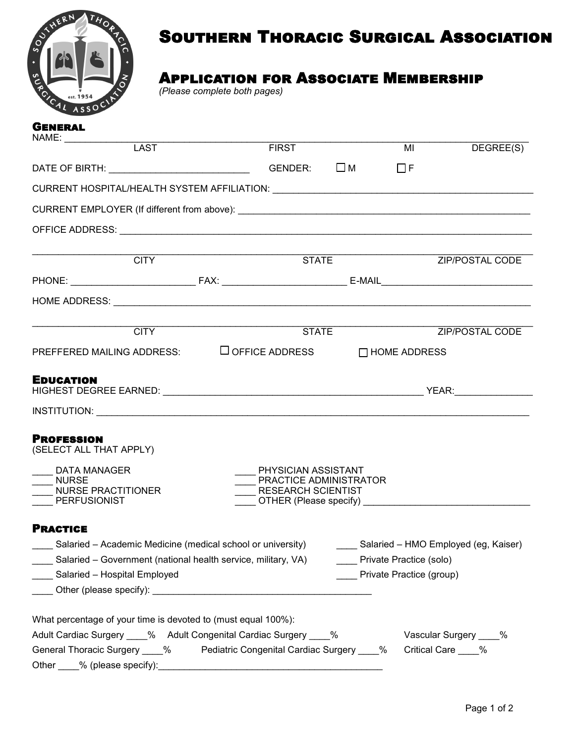

# Southern Thoracic Surgical Association

## Application for Associate Membership

*(Please complete both pages)*

| <b>GENERAL</b><br>NAME: ______________                                                                |                                                           |                                                              |                         |
|-------------------------------------------------------------------------------------------------------|-----------------------------------------------------------|--------------------------------------------------------------|-------------------------|
| <b>LAST</b>                                                                                           | <b>FIRST</b>                                              | $\overline{M}$                                               | DEGREE(S)               |
| DATE OF BIRTH: $\Box$ GENDER: $\Box$ M                                                                |                                                           | $\Box$ F                                                     |                         |
|                                                                                                       |                                                           |                                                              |                         |
|                                                                                                       |                                                           |                                                              |                         |
|                                                                                                       |                                                           |                                                              |                         |
| <b>CITY</b>                                                                                           | STATE                                                     |                                                              | ZIP/POSTAL CODE         |
|                                                                                                       |                                                           |                                                              |                         |
|                                                                                                       |                                                           |                                                              |                         |
|                                                                                                       |                                                           |                                                              |                         |
|                                                                                                       | <b>CITY</b> STATE                                         | ZIP/POSTAL CODE                                              |                         |
|                                                                                                       |                                                           | PREFFERED MAILING ADDRESS: □ ○FFICE ADDRESS □ □ HOME ADDRESS |                         |
|                                                                                                       |                                                           |                                                              |                         |
| <b>EDUCATION</b>                                                                                      |                                                           |                                                              |                         |
|                                                                                                       |                                                           |                                                              |                         |
|                                                                                                       |                                                           |                                                              |                         |
| <b>PROFESSION</b>                                                                                     |                                                           |                                                              |                         |
| (SELECT ALL THAT APPLY)                                                                               |                                                           |                                                              |                         |
| <b>DATA MANAGER</b>                                                                                   | PHYSICIAN ASSISTANT                                       |                                                              |                         |
| <b>NURSE</b><br>NURSE PRACTITIONER                                                                    | PRACTICE ADMINISTRATOR<br><b>RESEARCH SCIENTIST</b>       |                                                              |                         |
| PERFUSIONIST                                                                                          | OTHER (Please specify) <b>CONTRACTER</b> (Please specify) |                                                              |                         |
| <b>PRACTICE</b>                                                                                       |                                                           |                                                              |                         |
| Salaried – Academic Medicine (medical school or university) [10] Salaried – HMO Employed (eg, Kaiser) |                                                           |                                                              |                         |
| ____ Salaried – Government (national health service, military, VA)                                    |                                                           | Private Practice (solo)                                      |                         |
| ____ Salaried - Hospital Employed<br>Private Practice (group)                                         |                                                           |                                                              |                         |
|                                                                                                       |                                                           |                                                              |                         |
|                                                                                                       |                                                           |                                                              |                         |
| What percentage of your time is devoted to (must equal 100%):                                         |                                                           |                                                              |                         |
| Adult Cardiac Surgery ____% Adult Congenital Cardiac Surgery ____%                                    |                                                           |                                                              | Vascular Surgery ____ % |
| General Thoracic Surgery ____% Pediatric Congenital Cardiac Surgery ____%                             |                                                           |                                                              | Critical Care ____%     |
| Other % (please specify):                                                                             |                                                           |                                                              |                         |